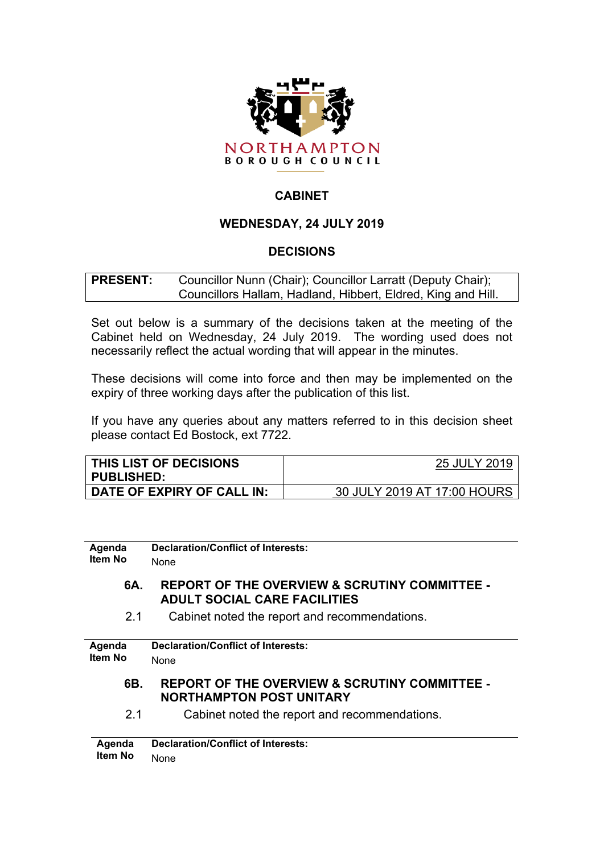

# **CABINET**

## **WEDNESDAY, 24 JULY 2019**

## **DECISIONS**

**PRESENT:** Councillor Nunn (Chair); Councillor Larratt (Deputy Chair); Councillors Hallam, Hadland, Hibbert, Eldred, King and Hill.

Set out below is a summary of the decisions taken at the meeting of the Cabinet held on Wednesday, 24 July 2019. The wording used does not necessarily reflect the actual wording that will appear in the minutes.

These decisions will come into force and then may be implemented on the expiry of three working days after the publication of this list.

If you have any queries about any matters referred to in this decision sheet please contact Ed Bostock, ext 7722.

| <b>THIS LIST OF DECISIONS</b><br><b>PUBLISHED:</b> | 25 JULY 2019                |
|----------------------------------------------------|-----------------------------|
| DATE OF EXPIRY OF CALL IN:                         | 30 JULY 2019 AT 17:00 HOURS |

| Agenda  | <b>Declaration/Conflict of Interests:</b>                                                       |
|---------|-------------------------------------------------------------------------------------------------|
| Item No | None                                                                                            |
| 6A.     | <b>REPORT OF THE OVERVIEW &amp; SCRUTINY COMMITTEE -</b><br><b>ADULT SOCIAL CARE FACILITIES</b> |
| 2.1     | Cabinet noted the report and recommendations.                                                   |
|         |                                                                                                 |
| Agenda  | Declaration/Conflict of Interests:                                                              |
| Item No | None                                                                                            |
| 6B.     | <b>REPORT OF THE OVERVIEW &amp; SCRUTINY COMMITTEE -</b><br><b>NORTHAMPTON POST UNITARY</b>     |
| 2.1     | Cabinet noted the report and recommendations.                                                   |
| Agenda  | Declaration/Conflict of Interests:                                                              |
| Item No | None                                                                                            |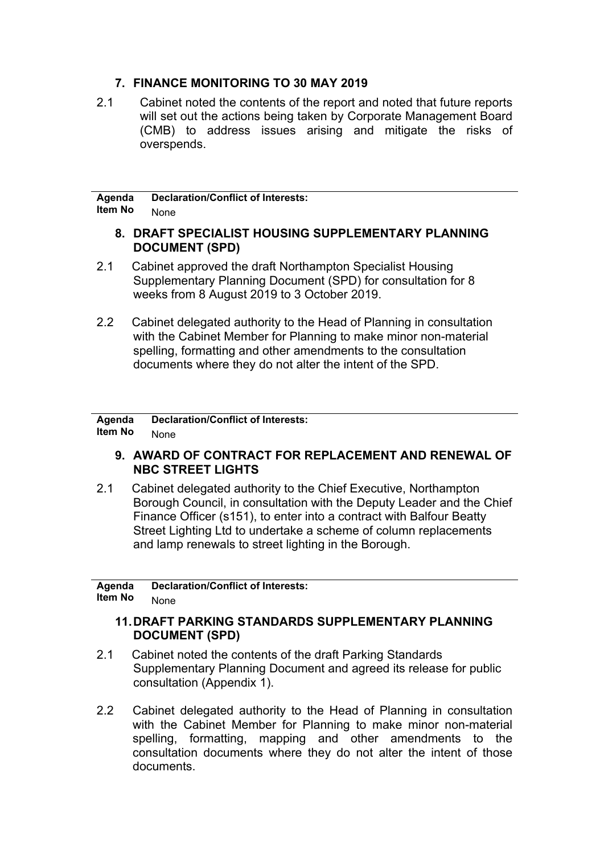## **7. FINANCE MONITORING TO 30 MAY 2019**

2.1 Cabinet noted the contents of the report and noted that future reports will set out the actions being taken by Corporate Management Board (CMB) to address issues arising and mitigate the risks of overspends.

#### **Agenda Item No Declaration/Conflict of Interests:** None

### **8. DRAFT SPECIALIST HOUSING SUPPLEMENTARY PLANNING DOCUMENT (SPD)**

- 2.1 Cabinet approved the draft Northampton Specialist Housing Supplementary Planning Document (SPD) for consultation for 8 weeks from 8 August 2019 to 3 October 2019.
- 2.2 Cabinet delegated authority to the Head of Planning in consultation with the Cabinet Member for Planning to make minor non-material spelling, formatting and other amendments to the consultation documents where they do not alter the intent of the SPD.

#### **Agenda Item No Declaration/Conflict of Interests:** None

## **9. AWARD OF CONTRACT FOR REPLACEMENT AND RENEWAL OF NBC STREET LIGHTS**

2.1 Cabinet delegated authority to the Chief Executive, Northampton Borough Council, in consultation with the Deputy Leader and the Chief Finance Officer (s151), to enter into a contract with Balfour Beatty Street Lighting Ltd to undertake a scheme of column replacements and lamp renewals to street lighting in the Borough.

**Agenda Item No Declaration/Conflict of Interests:** None

### **11.DRAFT PARKING STANDARDS SUPPLEMENTARY PLANNING DOCUMENT (SPD)**

- 2.1 Cabinet noted the contents of the draft Parking Standards Supplementary Planning Document and agreed its release for public consultation (Appendix 1).
- 2.2 Cabinet delegated authority to the Head of Planning in consultation with the Cabinet Member for Planning to make minor non-material spelling, formatting, mapping and other amendments to the consultation documents where they do not alter the intent of those documents.